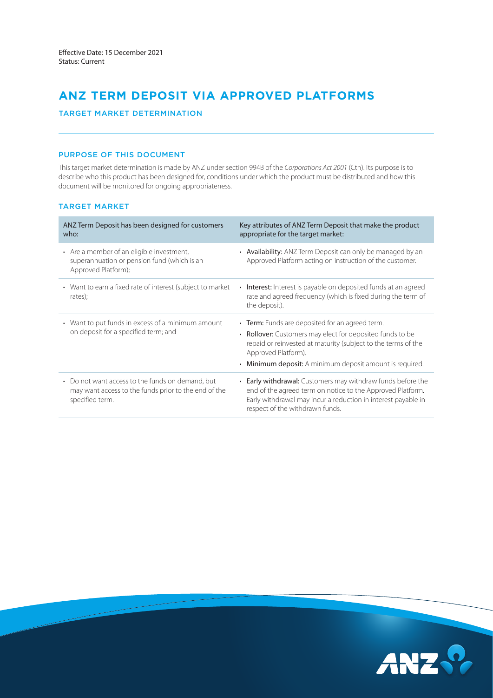# **ANZ TERM DEPOSIT VIA APPROVED PLATFORMS**

# TARGET MARKET DETERMINATION

# PURPOSE OF THIS DOCUMENT

This target market determination is made by ANZ under section 994B of the *Corporations Act 2001* (Cth). Its purpose is to describe who this product has been designed for, conditions under which the product must be distributed and how this document will be monitored for ongoing appropriateness.

# TARGET MARKET

| ANZ Term Deposit has been designed for customers<br>who:                                                                    | Key attributes of ANZ Term Deposit that make the product<br>appropriate for the target market:                                                                                                                                                                   |
|-----------------------------------------------------------------------------------------------------------------------------|------------------------------------------------------------------------------------------------------------------------------------------------------------------------------------------------------------------------------------------------------------------|
| • Are a member of an eligible investment,<br>superannuation or pension fund (which is an<br>Approved Platform);             | • Availability: ANZ Term Deposit can only be managed by an<br>Approved Platform acting on instruction of the customer.                                                                                                                                           |
| • Want to earn a fixed rate of interest (subject to market<br>rates);                                                       | <b>Interest:</b> Interest is payable on deposited funds at an agreed<br>rate and agreed frequency (which is fixed during the term of<br>the deposit).                                                                                                            |
| • Want to put funds in excess of a minimum amount<br>on deposit for a specified term; and                                   | • Term: Funds are deposited for an agreed term.<br>• Rollover: Customers may elect for deposited funds to be<br>repaid or reinvested at maturity (subject to the terms of the<br>Approved Platform).<br>• Minimum deposit: A minimum deposit amount is required. |
| • Do not want access to the funds on demand, but<br>may want access to the funds prior to the end of the<br>specified term. | • Early withdrawal: Customers may withdraw funds before the<br>end of the agreed term on notice to the Approved Platform.<br>Early withdrawal may incur a reduction in interest payable in<br>respect of the withdrawn funds.                                    |

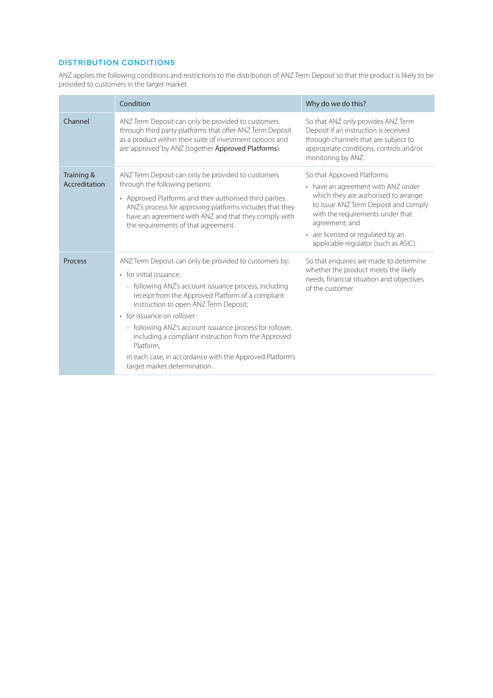# DISTRIBUTION CONDITIONS

ANZ applies the following conditions and restrictions to the distribution of ANZ Term Deposit so that the product is likely to be provided to customers in the target market.

|                             | Condition                                                                                                                                                                                                                                                                                                                                                                                                                                                                                           | Why do we do this?                                                                                                                                                                                                                                                                   |
|-----------------------------|-----------------------------------------------------------------------------------------------------------------------------------------------------------------------------------------------------------------------------------------------------------------------------------------------------------------------------------------------------------------------------------------------------------------------------------------------------------------------------------------------------|--------------------------------------------------------------------------------------------------------------------------------------------------------------------------------------------------------------------------------------------------------------------------------------|
| Channel                     | ANZ Term Deposit can only be provided to customers<br>through third party platforms that offer ANZ Term Deposit<br>as a product within their suite of investment options and<br>are 'approved' by ANZ (together Approved Platforms).                                                                                                                                                                                                                                                                | So that ANZ only provides ANZ Term<br>Deposit if an instruction is received<br>through channels that are subject to<br>appropriate conditions, controls and/or<br>monitoring by ANZ.                                                                                                 |
| Training &<br>Accreditation | ANZ Term Deposit can only be provided to customers<br>through the following persons:<br>• Approved Platforms and their authorised third parties.<br>ANZ's process for approving platforms includes that they<br>have an agreement with ANZ and that they comply with<br>the requirements of that agreement.                                                                                                                                                                                         | So that Approved Platforms:<br>• have an agreement with ANZ under<br>which they are authorised to arrange<br>to issue ANZ Term Deposit and comply<br>with the requirements under that<br>agreement; and<br>• are licensed or regulated by an<br>applicable regulator (such as ASIC). |
| Process                     | ANZ Term Deposit can only be provided to customers by:<br>• for initial issuance:<br>- following ANZ's account issuance process, including<br>receipt from the Approved Platform of a compliant<br>instruction to open ANZ Term Deposit;<br>• for issuance on rollover:<br>- following ANZ's account issuance process for rollover,<br>including a compliant instruction from the Approved<br>Platform.<br>in each case, in accordance with the Approved Platform's<br>target market determination. | So that enquiries are made to determine<br>whether the product meets the likely<br>needs, financial situation and objectives<br>of the customer.                                                                                                                                     |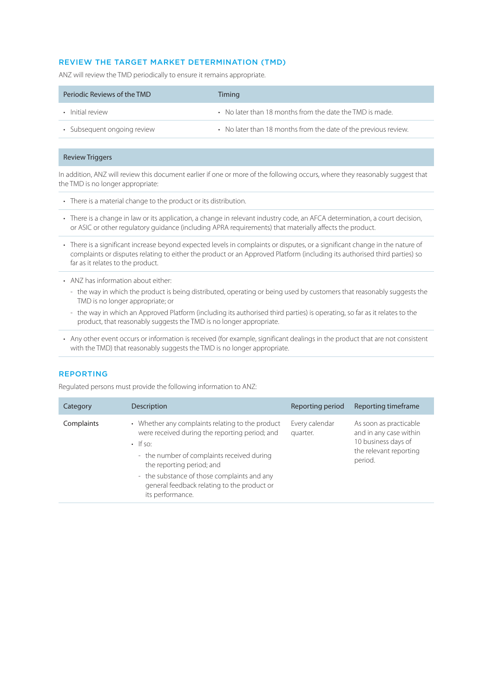# REVIEW THE TARGET MARKET DETERMINATION (TMD)

ANZ will review the TMD periodically to ensure it remains appropriate.

| Periodic Reviews of the TMD | Timing                                                          |
|-----------------------------|-----------------------------------------------------------------|
| • Initial review            | • No later than 18 months from the date the TMD is made.        |
| • Subsequent ongoing review | • No later than 18 months from the date of the previous review. |

#### Review Triggers

In addition, ANZ will review this document earlier if one or more of the following occurs, where they reasonably suggest that the TMD is no longer appropriate:

- There is a material change to the product or its distribution.
- There is a change in law or its application, a change in relevant industry code, an AFCA determination, a court decision, or ASIC or other regulatory guidance (including APRA requirements) that materially affects the product.
- There is a significant increase beyond expected levels in complaints or disputes, or a significant change in the nature of complaints or disputes relating to either the product or an Approved Platform (including its authorised third parties) so far as it relates to the product.
- ANZ has information about either:
	- the way in which the product is being distributed, operating or being used by customers that reasonably suggests the TMD is no longer appropriate; or
	- the way in which an Approved Platform (including its authorised third parties) is operating, so far as it relates to the product, that reasonably suggests the TMD is no longer appropriate.
- Any other event occurs or information is received (for example, significant dealings in the product that are not consistent with the TMD) that reasonably suggests the TMD is no longer appropriate.

#### REPORTING

Regulated persons must provide the following information to ANZ:

| Category   | Description                                                                                                                                                                                                                                                                                                       | Reporting period           | Reporting timeframe                                                                                          |
|------------|-------------------------------------------------------------------------------------------------------------------------------------------------------------------------------------------------------------------------------------------------------------------------------------------------------------------|----------------------------|--------------------------------------------------------------------------------------------------------------|
| Complaints | • Whether any complaints relating to the product<br>were received during the reporting period; and<br>$\cdot$ If so:<br>- the number of complaints received during<br>the reporting period; and<br>- the substance of those complaints and any<br>general feedback relating to the product or<br>its performance. | Every calendar<br>quarter. | As soon as practicable<br>and in any case within<br>10 business days of<br>the relevant reporting<br>period. |